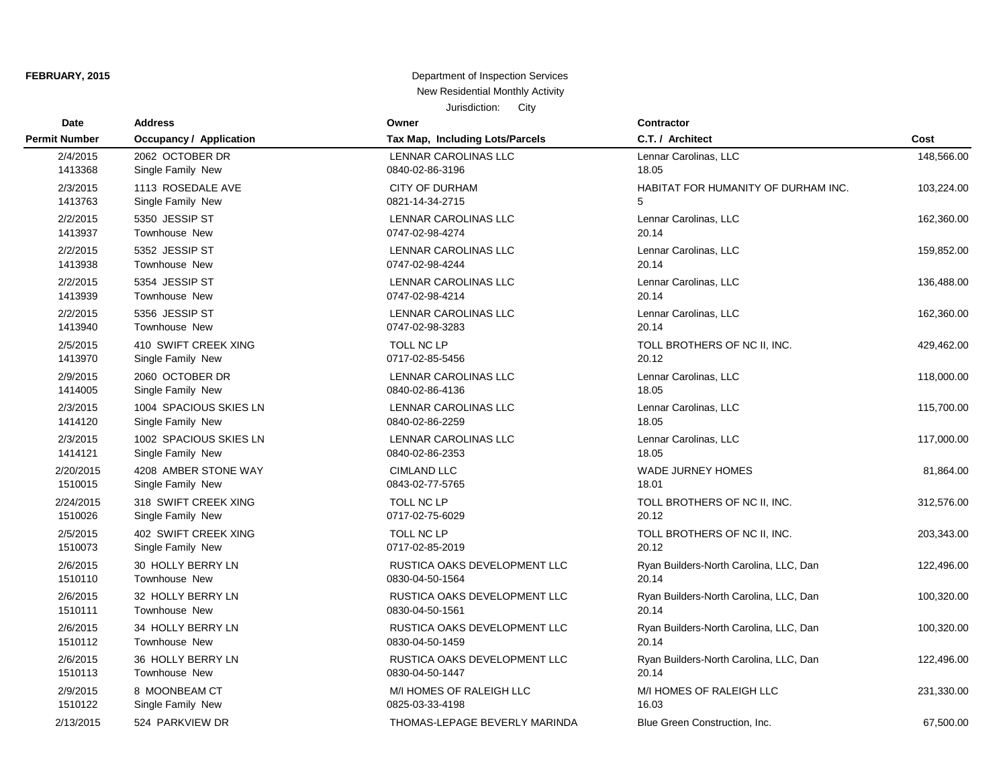| <b>Date</b>          | <b>Address</b>                 | Owner                           | Contractor                             |            |
|----------------------|--------------------------------|---------------------------------|----------------------------------------|------------|
| <b>Permit Number</b> | <b>Occupancy / Application</b> | Tax Map, Including Lots/Parcels | C.T. / Architect                       | Cost       |
| 2/4/2015             | 2062 OCTOBER DR                | <b>LENNAR CAROLINAS LLC</b>     | Lennar Carolinas, LLC                  | 148,566.00 |
| 1413368              | Single Family New              | 0840-02-86-3196                 | 18.05                                  |            |
| 2/3/2015             | 1113 ROSEDALE AVE              | <b>CITY OF DURHAM</b>           | HABITAT FOR HUMANITY OF DURHAM INC.    | 103,224.00 |
| 1413763              | Single Family New              | 0821-14-34-2715                 | 5                                      |            |
| 2/2/2015             | 5350 JESSIP ST                 | LENNAR CAROLINAS LLC            | Lennar Carolinas, LLC                  | 162,360.00 |
| 1413937              | Townhouse New                  | 0747-02-98-4274                 | 20.14                                  |            |
| 2/2/2015             | 5352 JESSIP ST                 | LENNAR CAROLINAS LLC            | Lennar Carolinas, LLC                  | 159,852.00 |
| 1413938              | Townhouse New                  | 0747-02-98-4244                 | 20.14                                  |            |
| 2/2/2015             | 5354 JESSIP ST                 | LENNAR CAROLINAS LLC            | Lennar Carolinas, LLC                  | 136,488.00 |
| 1413939              | <b>Townhouse New</b>           | 0747-02-98-4214                 | 20.14                                  |            |
| 2/2/2015             | 5356 JESSIP ST                 | LENNAR CAROLINAS LLC            | Lennar Carolinas, LLC                  | 162,360.00 |
| 1413940              | <b>Townhouse New</b>           | 0747-02-98-3283                 | 20.14                                  |            |
| 2/5/2015             | 410 SWIFT CREEK XING           | TOLL NC LP                      | TOLL BROTHERS OF NC II, INC.           | 429,462.00 |
| 1413970              | Single Family New              | 0717-02-85-5456                 | 20.12                                  |            |
| 2/9/2015             | 2060 OCTOBER DR                | LENNAR CAROLINAS LLC            | Lennar Carolinas, LLC                  | 118,000.00 |
| 1414005              | Single Family New              | 0840-02-86-4136                 | 18.05                                  |            |
| 2/3/2015             | 1004 SPACIOUS SKIES LN         | LENNAR CAROLINAS LLC            | Lennar Carolinas, LLC                  | 115,700.00 |
| 1414120              | Single Family New              | 0840-02-86-2259                 | 18.05                                  |            |
| 2/3/2015             | 1002 SPACIOUS SKIES LN         | LENNAR CAROLINAS LLC            | Lennar Carolinas, LLC                  | 117,000.00 |
| 1414121              | Single Family New              | 0840-02-86-2353                 | 18.05                                  |            |
| 2/20/2015            | 4208 AMBER STONE WAY           | <b>CIMLAND LLC</b>              | <b>WADE JURNEY HOMES</b>               | 81,864.00  |
| 1510015              | Single Family New              | 0843-02-77-5765                 | 18.01                                  |            |
| 2/24/2015            | 318 SWIFT CREEK XING           | TOLL NC LP                      | TOLL BROTHERS OF NC II, INC.           | 312,576.00 |
| 1510026              | Single Family New              | 0717-02-75-6029                 | 20.12                                  |            |
| 2/5/2015             | 402 SWIFT CREEK XING           | <b>TOLL NC LP</b>               | TOLL BROTHERS OF NC II, INC.           | 203,343.00 |
| 1510073              | Single Family New              | 0717-02-85-2019                 | 20.12                                  |            |
| 2/6/2015             | 30 HOLLY BERRY LN              | RUSTICA OAKS DEVELOPMENT LLC    | Ryan Builders-North Carolina, LLC, Dan | 122,496.00 |
| 1510110              | <b>Townhouse New</b>           | 0830-04-50-1564                 | 20.14                                  |            |
| 2/6/2015             | 32 HOLLY BERRY LN              | RUSTICA OAKS DEVELOPMENT LLC    | Ryan Builders-North Carolina, LLC, Dan | 100,320.00 |
| 1510111              | <b>Townhouse New</b>           | 0830-04-50-1561                 | 20.14                                  |            |
| 2/6/2015             | 34 HOLLY BERRY LN              | RUSTICA OAKS DEVELOPMENT LLC    | Ryan Builders-North Carolina, LLC, Dan | 100,320.00 |
| 1510112              | <b>Townhouse New</b>           | 0830-04-50-1459                 | 20.14                                  |            |
| 2/6/2015             | 36 HOLLY BERRY LN              | RUSTICA OAKS DEVELOPMENT LLC    | Ryan Builders-North Carolina, LLC, Dan | 122,496.00 |
| 1510113              | Townhouse New                  | 0830-04-50-1447                 | 20.14                                  |            |
| 2/9/2015             | 8 MOONBEAM CT                  | M/I HOMES OF RALEIGH LLC        | M/I HOMES OF RALEIGH LLC               | 231,330.00 |
| 1510122              | Single Family New              | 0825-03-33-4198                 | 16.03                                  |            |
| 2/13/2015            | 524 PARKVIEW DR                | THOMAS-LEPAGE BEVERLY MARINDA   | Blue Green Construction, Inc.          | 67,500.00  |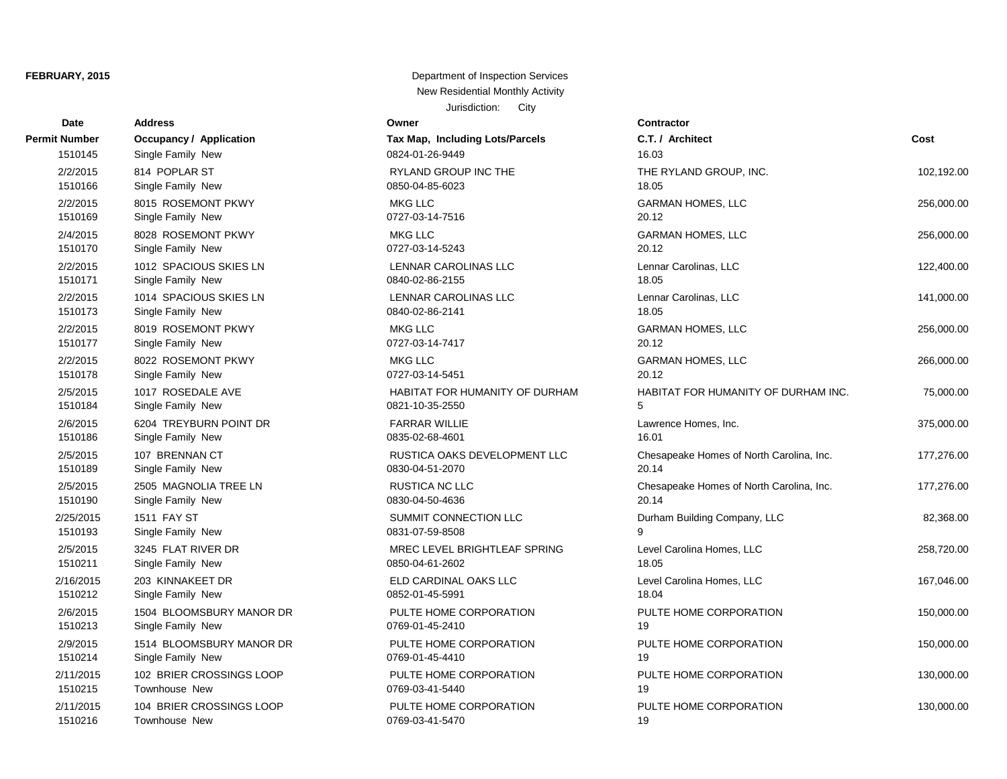| <b>Date</b>          | <b>Address</b>                 | Owner                           | Contractor         |
|----------------------|--------------------------------|---------------------------------|--------------------|
| <b>Permit Number</b> | <b>Occupancy / Application</b> | Tax Map, Including Lots/Parcels | C.T. / Arch        |
| 1510145              | Single Family New              | 0824-01-26-9449                 | 16.03              |
| 2/2/2015             | 814 POPLAR ST                  | <b>RYLAND GROUP INC THE</b>     | <b>THE RYLA</b>    |
| 1510166              | Single Family New              | 0850-04-85-6023                 | 18.05              |
| 2/2/2015             | 8015 ROSEMONT PKWY             | <b>MKG LLC</b>                  | <b>GARMAN H</b>    |
| 1510169              | Single Family New              | 0727-03-14-7516                 | 20.12              |
| 2/4/2015             | 8028 ROSEMONT PKWY             | <b>MKG LLC</b>                  | <b>GARMAN H</b>    |
| 1510170              | Single Family New              | 0727-03-14-5243                 | 20.12              |
| 2/2/2015             | 1012 SPACIOUS SKIES LN         | LENNAR CAROLINAS LLC            | Lennar Car         |
| 1510171              | Single Family New              | 0840-02-86-2155                 | 18.05              |
| 2/2/2015             | 1014 SPACIOUS SKIES LN         | <b>LENNAR CAROLINAS LLC</b>     | Lennar Car         |
| 1510173              | Single Family New              | 0840-02-86-2141                 | 18.05              |
| 2/2/2015             | 8019 ROSEMONT PKWY             | <b>MKG LLC</b>                  | <b>GARMAN H</b>    |
| 1510177              | Single Family New              | 0727-03-14-7417                 | 20.12              |
| 2/2/2015             | 8022 ROSEMONT PKWY             | <b>MKG LLC</b>                  | <b>GARMAN H</b>    |
| 1510178              | Single Family New              | 0727-03-14-5451                 | 20.12              |
| 2/5/2015             | 1017 ROSEDALE AVE              | HABITAT FOR HUMANITY OF DURHAM  | <b>HABITAT F</b>   |
| 1510184              | Single Family New              | 0821-10-35-2550                 | 5                  |
| 2/6/2015             | 6204 TREYBURN POINT DR         | <b>FARRAR WILLIE</b>            | Lawrence <b>H</b>  |
| 1510186              | Single Family New              | 0835-02-68-4601                 | 16.01              |
| 2/5/2015             | 107 BRENNAN CT                 | RUSTICA OAKS DEVELOPMENT LLC    | Chesapeak          |
| 1510189              | Single Family New              | 0830-04-51-2070                 | 20.14              |
| 2/5/2015             | 2505 MAGNOLIA TREE LN          | <b>RUSTICA NC LLC</b>           | Chesapeak          |
| 1510190              | Single Family New              | 0830-04-50-4636                 | 20.14              |
| 2/25/2015            | 1511 FAY ST                    | SUMMIT CONNECTION LLC           | Durham Bu          |
| 1510193              | Single Family New              | 0831-07-59-8508                 | 9                  |
| 2/5/2015             | 3245 FLAT RIVER DR             | MREC LEVEL BRIGHTLEAF SPRING    | <b>Level Carol</b> |
| 1510211              | Single Family New              | 0850-04-61-2602                 | 18.05              |
| 2/16/2015            | 203 KINNAKEET DR               | ELD CARDINAL OAKS LLC           | Level Carol        |
| 1510212              | Single Family New              | 0852-01-45-5991                 | 18.04              |
| 2/6/2015             | 1504 BLOOMSBURY MANOR DR       | PULTE HOME CORPORATION          | PULTE HO           |
| 1510213              | Single Family New              | 0769-01-45-2410                 | 19                 |
| 2/9/2015             | 1514 BLOOMSBURY MANOR DR       | PULTE HOME CORPORATION          | PULTE HO           |
| 1510214              | Single Family New              | 0769-01-45-4410                 | 19                 |
| 2/11/2015            | 102 BRIER CROSSINGS LOOP       | PULTE HOME CORPORATION          | PULTE HO           |
| 1510215              | Townhouse New                  | 0769-03-41-5440                 | 19                 |
| 2/11/2015            | 104 BRIER CROSSINGS LOOP       | PULTE HOME CORPORATION          | PULTE HO           |
| 1510216              | Townhouse New                  | 0769-03-41-5470                 | 19                 |

| Date          | Address                        | ∪wner                           | Contractor                               |            |
|---------------|--------------------------------|---------------------------------|------------------------------------------|------------|
| <b>Number</b> | <b>Occupancy / Application</b> | Tax Map, Including Lots/Parcels | C.T. / Architect                         | Cost       |
| 1510145       | Single Family New              | 0824-01-26-9449                 | 16.03                                    |            |
| 2/2/2015      | 814 POPLAR ST                  | RYLAND GROUP INC THE            | THE RYLAND GROUP, INC.                   | 102,192.00 |
| 1510166       | Single Family New              | 0850-04-85-6023                 | 18.05                                    |            |
| 2/2/2015      | 8015 ROSEMONT PKWY             | <b>MKG LLC</b>                  | <b>GARMAN HOMES, LLC</b>                 | 256,000.00 |
| 1510169       | Single Family New              | 0727-03-14-7516                 | 20.12                                    |            |
| 2/4/2015      | 8028 ROSEMONT PKWY             | MKG LLC                         | <b>GARMAN HOMES, LLC</b>                 | 256,000.00 |
| 1510170       | Single Family New              | 0727-03-14-5243                 | 20.12                                    |            |
| 2/2/2015      | 1012 SPACIOUS SKIES LN         | LENNAR CAROLINAS LLC            | Lennar Carolinas, LLC                    | 122,400.00 |
| 1510171       | Single Family New              | 0840-02-86-2155                 | 18.05                                    |            |
| 2/2/2015      | 1014 SPACIOUS SKIES LN         | LENNAR CAROLINAS LLC            | Lennar Carolinas, LLC                    | 141,000.00 |
| 1510173       | Single Family New              | 0840-02-86-2141                 | 18.05                                    |            |
| 2/2/2015      | 8019 ROSEMONT PKWY             | <b>MKG LLC</b>                  | <b>GARMAN HOMES, LLC</b>                 | 256,000.00 |
| 1510177       | Single Family New              | 0727-03-14-7417                 | 20.12                                    |            |
| 2/2/2015      | 8022 ROSEMONT PKWY             | <b>MKG LLC</b>                  | <b>GARMAN HOMES, LLC</b>                 | 266,000.00 |
| 1510178       | Single Family New              | 0727-03-14-5451                 | 20.12                                    |            |
| 2/5/2015      | 1017 ROSEDALE AVE              | HABITAT FOR HUMANITY OF DURHAM  | HABITAT FOR HUMANITY OF DURHAM INC.      | 75,000.00  |
| 1510184       | Single Family New              | 0821-10-35-2550                 | 5                                        |            |
| 2/6/2015      | 6204 TREYBURN POINT DR         | <b>FARRAR WILLIE</b>            | Lawrence Homes, Inc.                     | 375,000.00 |
| 1510186       | Single Family New              | 0835-02-68-4601                 | 16.01                                    |            |
| 2/5/2015      | 107 BRENNAN CT                 | RUSTICA OAKS DEVELOPMENT LLC    | Chesapeake Homes of North Carolina, Inc. | 177,276.00 |
| 1510189       | Single Family New              | 0830-04-51-2070                 | 20.14                                    |            |
| 2/5/2015      | 2505 MAGNOLIA TREE LN          | <b>RUSTICA NC LLC</b>           | Chesapeake Homes of North Carolina, Inc. | 177,276.00 |
| 1510190       | Single Family New              | 0830-04-50-4636                 | 20.14                                    |            |
| 2/25/2015     | 1511 FAY ST                    | SUMMIT CONNECTION LLC           | Durham Building Company, LLC             | 82,368.00  |
| 1510193       | Single Family New              | 0831-07-59-8508                 |                                          |            |
| 2/5/2015      | 3245 FLAT RIVER DR             | MREC LEVEL BRIGHTLEAF SPRING    | Level Carolina Homes, LLC                | 258,720.00 |
| 1510211       | Single Family New              | 0850-04-61-2602                 | 18.05                                    |            |
| 2/16/2015     | 203 KINNAKEET DR               | ELD CARDINAL OAKS LLC           | Level Carolina Homes, LLC                | 167,046.00 |
| 1510212       | Single Family New              | 0852-01-45-5991                 | 18.04                                    |            |
| 2/6/2015      | 1504 BLOOMSBURY MANOR DR       | PULTE HOME CORPORATION          | PULTE HOME CORPORATION                   | 150,000.00 |
| 1510213       | Single Family New              | 0769-01-45-2410                 | 19                                       |            |
| 2/9/2015      | 1514 BLOOMSBURY MANOR DR       | PULTE HOME CORPORATION          | PULTE HOME CORPORATION                   | 150,000.00 |
| 1510214       | Single Family New              | 0769-01-45-4410                 | 19                                       |            |
| 2/11/2015     | 102 BRIER CROSSINGS LOOP       | PULTE HOME CORPORATION          | PULTE HOME CORPORATION                   | 130,000.00 |
| 1510215       | <b>Townhouse New</b>           | 0769-03-41-5440                 | 19                                       |            |
| 2/11/2015     | 104 BRIER CROSSINGS LOOP       | PULTE HOME CORPORATION          | PULTE HOME CORPORATION                   | 130,000.00 |
| 1510216       | Townhouse New                  | 0769-03-41-5470                 | 19                                       |            |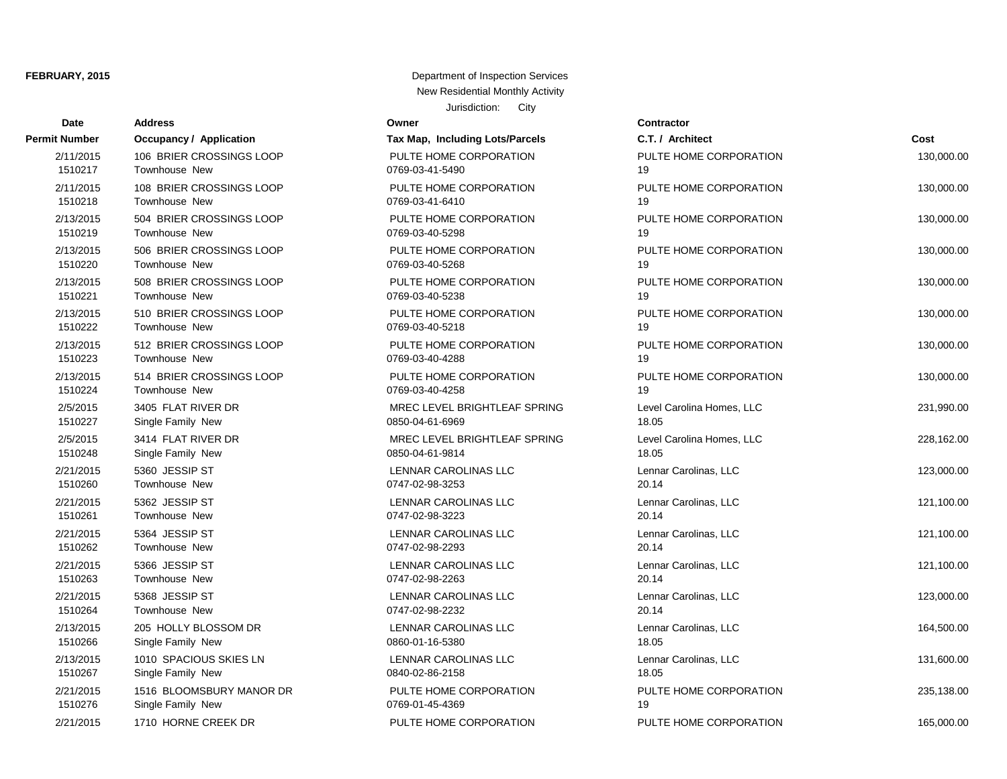| Date          | <b>Address</b>                 | Owner                           | Contractor       |
|---------------|--------------------------------|---------------------------------|------------------|
| Permit Number | <b>Occupancy / Application</b> | Tax Map, Including Lots/Parcels | C.T. / Architect |
| 2/11/2015     | 106 BRIER CROSSINGS LOOP       | PULTE HOME CORPORATION          | PULTE HOME O     |
| 1510217       | Townhouse New                  | 0769-03-41-5490                 | 19               |
| 2/11/2015     | 108 BRIER CROSSINGS LOOP       | PULTE HOME CORPORATION          | PULTE HOME O     |
| 1510218       | Townhouse New                  | 0769-03-41-6410                 | 19               |
| 2/13/2015     | 504 BRIER CROSSINGS LOOP       | PULTE HOME CORPORATION          | PULTE HOME O     |
| 1510219       | <b>Townhouse New</b>           | 0769-03-40-5298                 | 19               |
| 2/13/2015     | 506 BRIER CROSSINGS LOOP       | PULTE HOME CORPORATION          | PULTE HOME O     |
| 1510220       | <b>Townhouse New</b>           | 0769-03-40-5268                 | 19               |
| 2/13/2015     | 508 BRIER CROSSINGS LOOP       | PULTE HOME CORPORATION          | PULTE HOME O     |
| 1510221       | <b>Townhouse New</b>           | 0769-03-40-5238                 | 19               |
| 2/13/2015     | 510 BRIER CROSSINGS LOOP       | PULTE HOME CORPORATION          | PULTE HOME O     |
| 1510222       | Townhouse New                  | 0769-03-40-5218                 | 19               |
| 2/13/2015     | 512 BRIER CROSSINGS LOOP       | PULTE HOME CORPORATION          | PULTE HOME O     |
| 1510223       | Townhouse New                  | 0769-03-40-4288                 | 19               |
| 2/13/2015     | 514 BRIER CROSSINGS LOOP       | PULTE HOME CORPORATION          | PULTE HOME O     |
| 1510224       | <b>Townhouse New</b>           | 0769-03-40-4258                 | 19               |
| 2/5/2015      | 3405 FLAT RIVER DR             | MREC LEVEL BRIGHTLEAF SPRING    | Level Carolina H |
| 1510227       | Single Family New              | 0850-04-61-6969                 | 18.05            |
| 2/5/2015      | 3414 FLAT RIVER DR             | MREC LEVEL BRIGHTLEAF SPRING    | Level Carolina H |
| 1510248       | Single Family New              | 0850-04-61-9814                 | 18.05            |
| 2/21/2015     | 5360 JESSIP ST                 | LENNAR CAROLINAS LLC            | Lennar Carolinas |
| 1510260       | Townhouse New                  | 0747-02-98-3253                 | 20.14            |
| 2/21/2015     | 5362 JESSIP ST                 | LENNAR CAROLINAS LLC            | Lennar Carolinas |
| 1510261       | Townhouse New                  | 0747-02-98-3223                 | 20.14            |
| 2/21/2015     | 5364 JESSIP ST                 | LENNAR CAROLINAS LLC            | Lennar Carolinas |
| 1510262       | Townhouse New                  | 0747-02-98-2293                 | 20.14            |
| 2/21/2015     | 5366 JESSIP ST                 | LENNAR CAROLINAS LLC            | Lennar Carolinas |
| 1510263       | Townhouse New                  | 0747-02-98-2263                 | 20.14            |
| 2/21/2015     | 5368 JESSIP ST                 | LENNAR CAROLINAS LLC            | Lennar Carolinas |
| 1510264       | Townhouse New                  | 0747-02-98-2232                 | 20.14            |
| 2/13/2015     | 205 HOLLY BLOSSOM DR           | <b>LENNAR CAROLINAS LLC</b>     | Lennar Carolinas |
| 1510266       | Single Family New              | 0860-01-16-5380                 | 18.05            |
| 2/13/2015     | 1010 SPACIOUS SKIES LN         | LENNAR CAROLINAS LLC            | Lennar Carolinas |
| 1510267       | Single Family New              | 0840-02-86-2158                 | 18.05            |
| 2/21/2015     | 1516 BLOOMSBURY MANOR DR       | PULTE HOME CORPORATION          | PULTE HOME O     |
| 1510276       | Single Family New              | 0769-01-45-4369                 | 19               |
| 2/21/2015     | 1710 HORNE CREEK DR            | PULTE HOME CORPORATION          | PULTE HOME C     |

## **Owner**

| t Number             | <b>Occupancy / Application</b>  | Tax Map, Including Lots/Parcels                | C.T. / Architect               | Cost       |
|----------------------|---------------------------------|------------------------------------------------|--------------------------------|------------|
| 2/11/2015            | 106 BRIER CROSSINGS LOOP        | PULTE HOME CORPORATION                         | PULTE HOME CORPORATION         | 130,000.00 |
| 1510217              | <b>Townhouse New</b>            | 0769-03-41-5490                                | 19                             |            |
| 2/11/2015            | 108 BRIER CROSSINGS LOOP        | PULTE HOME CORPORATION                         | PULTE HOME CORPORATION         | 130,000.00 |
| 1510218              | <b>Townhouse New</b>            | 0769-03-41-6410                                | 19                             |            |
| 2/13/2015            | 504 BRIER CROSSINGS LOOP        | PULTE HOME CORPORATION                         | PULTE HOME CORPORATION         | 130,000.00 |
| 1510219              | Townhouse New                   | 0769-03-40-5298                                | 19                             |            |
| 2/13/2015            | 506 BRIER CROSSINGS LOOP        | PULTE HOME CORPORATION                         | PULTE HOME CORPORATION         | 130,000.00 |
| 1510220              | Townhouse New                   | 0769-03-40-5268                                | 19                             |            |
| 2/13/2015            | 508 BRIER CROSSINGS LOOP        | PULTE HOME CORPORATION                         | PULTE HOME CORPORATION         | 130,000.00 |
| 1510221              | <b>Townhouse New</b>            | 0769-03-40-5238                                | 19                             |            |
| 2/13/2015            | 510 BRIER CROSSINGS LOOP        | PULTE HOME CORPORATION                         | PULTE HOME CORPORATION         | 130,000.00 |
| 1510222              | <b>Townhouse New</b>            | 0769-03-40-5218                                | 19                             |            |
| 2/13/2015            | 512 BRIER CROSSINGS LOOP        | PULTE HOME CORPORATION                         | PULTE HOME CORPORATION         | 130,000.00 |
| 1510223              | Townhouse New                   | 0769-03-40-4288                                | 19                             |            |
| 2/13/2015            | 514 BRIER CROSSINGS LOOP        | PULTE HOME CORPORATION                         | PULTE HOME CORPORATION         | 130,000.00 |
| 1510224              | <b>Townhouse New</b>            | 0769-03-40-4258                                | 19                             |            |
| 2/5/2015             | 3405 FLAT RIVER DR              | MREC LEVEL BRIGHTLEAF SPRING                   | Level Carolina Homes, LLC      | 231,990.00 |
| 1510227              | Single Family New               | 0850-04-61-6969                                | 18.05                          |            |
| 2/5/2015             | 3414 FLAT RIVER DR              | MREC LEVEL BRIGHTLEAF SPRING                   | Level Carolina Homes, LLC      | 228,162.00 |
| 1510248              | Single Family New               | 0850-04-61-9814                                | 18.05                          |            |
| 2/21/2015            | 5360 JESSIP ST                  | LENNAR CAROLINAS LLC                           | Lennar Carolinas, LLC          | 123,000.00 |
| 1510260              | Townhouse New                   | 0747-02-98-3253                                | 20.14                          |            |
| 2/21/2015            | 5362 JESSIP ST<br>Townhouse New | LENNAR CAROLINAS LLC<br>0747-02-98-3223        | Lennar Carolinas, LLC<br>20.14 | 121,100.00 |
| 1510261              |                                 |                                                |                                |            |
| 2/21/2015<br>1510262 | 5364 JESSIP ST<br>Townhouse New | <b>LENNAR CAROLINAS LLC</b><br>0747-02-98-2293 | Lennar Carolinas, LLC<br>20.14 | 121,100.00 |
|                      |                                 |                                                |                                |            |
| 2/21/2015<br>1510263 | 5366 JESSIP ST<br>Townhouse New | LENNAR CAROLINAS LLC<br>0747-02-98-2263        | Lennar Carolinas, LLC<br>20.14 | 121,100.00 |
|                      |                                 |                                                |                                |            |
| 2/21/2015<br>1510264 | 5368 JESSIP ST<br>Townhouse New | LENNAR CAROLINAS LLC<br>0747-02-98-2232        | Lennar Carolinas, LLC<br>20.14 | 123,000.00 |
| 2/13/2015            | 205 HOLLY BLOSSOM DR            | LENNAR CAROLINAS LLC                           | Lennar Carolinas, LLC          |            |
| 1510266              | Single Family New               | 0860-01-16-5380                                | 18.05                          | 164,500.00 |
| 2/13/2015            | 1010 SPACIOUS SKIES LN          | LENNAR CAROLINAS LLC                           | Lennar Carolinas, LLC          | 131,600.00 |
| 1510267              | Single Family New               | 0840-02-86-2158                                | 18.05                          |            |
| 2/21/2015            | 1516 BLOOMSBURY MANOR DR        | PULTE HOME CORPORATION                         | PULTE HOME CORPORATION         | 235,138.00 |
| 1510276              | Single Family New               | 0769-01-45-4369                                | 19                             |            |
| 2/21/2015            | 1710 HORNE CREEK DR             | PULTE HOME CORPORATION                         | PULTE HOME CORPORATION         | 165,000.00 |
|                      |                                 |                                                |                                |            |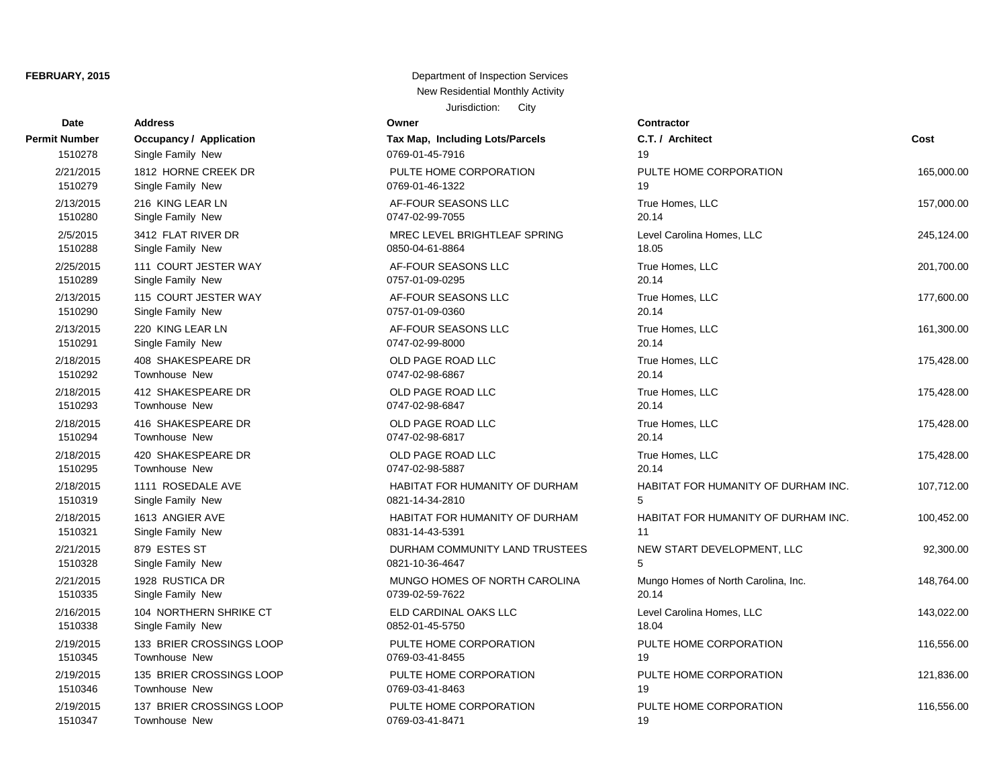| <b>Date</b>   | <b>Address</b>                 | Owner                                 | <b>Contractor</b>    |
|---------------|--------------------------------|---------------------------------------|----------------------|
| Permit Number | <b>Occupancy / Application</b> | Tax Map, Including Lots/Parcels       | C.T. / Architect     |
| 1510278       | Single Family New              | 0769-01-45-7916                       | 19                   |
| 2/21/2015     | 1812 HORNE CREEK DR            | PULTE HOME CORPORATION                | PULTE HOME O         |
| 1510279       | Single Family New              | 0769-01-46-1322                       | 19                   |
| 2/13/2015     | 216 KING LEAR LN               | AF-FOUR SEASONS LLC                   | True Homes, LL       |
| 1510280       | Single Family New              | 0747-02-99-7055                       | 20.14                |
| 2/5/2015      | 3412 FLAT RIVER DR             | MREC LEVEL BRIGHTLEAF SPRING          | Level Carolina H     |
| 1510288       | Single Family New              | 0850-04-61-8864                       | 18.05                |
| 2/25/2015     | 111 COURT JESTER WAY           | AF-FOUR SEASONS LLC                   | True Homes, LL       |
| 1510289       | Single Family New              | 0757-01-09-0295                       | 20.14                |
| 2/13/2015     | 115 COURT JESTER WAY           | AF-FOUR SEASONS LLC                   | True Homes, LL       |
| 1510290       | Single Family New              | 0757-01-09-0360                       | 20.14                |
| 2/13/2015     | 220 KING LEAR LN               | AF-FOUR SEASONS LLC                   | True Homes, LL       |
| 1510291       | Single Family New              | 0747-02-99-8000                       | 20.14                |
| 2/18/2015     | 408 SHAKESPEARE DR             | OLD PAGE ROAD LLC                     | True Homes, LL       |
| 1510292       | <b>Townhouse New</b>           | 0747-02-98-6867                       | 20.14                |
| 2/18/2015     | 412 SHAKESPEARE DR             | OLD PAGE ROAD LLC                     | True Homes, LL       |
| 1510293       | <b>Townhouse New</b>           | 0747-02-98-6847                       | 20.14                |
| 2/18/2015     | 416 SHAKESPEARE DR             | OLD PAGE ROAD LLC                     | True Homes, LL       |
| 1510294       | <b>Townhouse New</b>           | 0747-02-98-6817                       | 20.14                |
| 2/18/2015     | 420 SHAKESPEARE DR             | OLD PAGE ROAD LLC                     | True Homes, LL       |
| 1510295       | Townhouse New                  | 0747-02-98-5887                       | 20.14                |
| 2/18/2015     | 1111 ROSEDALE AVE              | <b>HABITAT FOR HUMANITY OF DURHAM</b> | <b>HABITAT FOR H</b> |
| 1510319       | Single Family New              | 0821-14-34-2810                       | 5                    |
| 2/18/2015     | 1613 ANGIER AVE                | HABITAT FOR HUMANITY OF DURHAM        | <b>HABITAT FOR I</b> |
| 1510321       | Single Family New              | 0831-14-43-5391                       | 11                   |
| 2/21/2015     | 879 ESTES ST                   | DURHAM COMMUNITY LAND TRUSTEES        | <b>NEW START DI</b>  |
| 1510328       | Single Family New              | 0821-10-36-4647                       | 5                    |
| 2/21/2015     | 1928 RUSTICA DR                | MUNGO HOMES OF NORTH CAROLINA         | Mungo Homes o        |
| 1510335       | Single Family New              | 0739-02-59-7622                       | 20.14                |
| 2/16/2015     | 104 NORTHERN SHRIKE CT         | ELD CARDINAL OAKS LLC                 | Level Carolina H     |
| 1510338       | Single Family New              | 0852-01-45-5750                       | 18.04                |
| 2/19/2015     | 133 BRIER CROSSINGS LOOP       | PULTE HOME CORPORATION                | PULTE HOME O         |
| 1510345       | Townhouse New                  | 0769-03-41-8455                       | 19                   |
| 2/19/2015     | 135 BRIER CROSSINGS LOOP       | PULTE HOME CORPORATION                | PULTE HOME O         |
| 1510346       | Townhouse New                  | 0769-03-41-8463                       | 19                   |
| 2/19/2015     | 137 BRIER CROSSINGS LOOP       | PULTE HOME CORPORATION                | PULTE HOME O         |
| 1510347       | Townhouse New                  | 0769-03-41-8471                       | 19                   |

| Owner                                                    |
|----------------------------------------------------------|
| <b>Tax Map, Including Lots/Parcels</b>                   |
| 0769-01-45-7916                                          |
| PULTE HOME CORPORATION<br>0769-01-46-1322                |
| AF-FOUR SEASONS LLC<br>0747-02-99-7055                   |
| MREC LEVEL BRIGHTLEAF SPRING<br>0850-04-61-8864          |
| AF-FOUR SEASONS LLC<br>0757-01-09-0295                   |
| AF-FOUR SEASONS LLC<br>0757-01-09-0360                   |
| AF-FOUR SEASONS LLC<br>0747-02-99-8000                   |
| OLD PAGE ROAD LLC<br>0747-02-98-6867                     |
| <b>OLD PAGE ROAD LLC</b><br>0747-02-98-6847              |
| OLD PAGE ROAD LLC<br>0747-02-98-6817                     |
| OLD PAGE ROAD LLC<br>0747-02-98-5887                     |
| HABITAT FOR HUMANITY OF DURHAM<br>0821-14-34-2810        |
| <b>HABITAT FOR HUMANITY OF DURHAM</b><br>0831-14-43-5391 |
| DURHAM COMMUNITY LAND TRUSTEES<br>0821-10-36-4647        |
| MUNGO HOMES OF NORTH CAROLINA<br>0739-02-59-7622         |
| ELD CARDINAL OAKS LLC<br>0852-01-45-5750                 |
| PULTE HOME CORPORATION<br>0769-03-41-8455                |
| PULTE HOME CORPORATION<br>0769-03-41-8463                |
| PULTE HOME CORPORATION                                   |

| t Number  | <b>Occupancy / Application</b> | Tax Map, Including Lots/Parcels | C.T. / Architect                    | Cost       |
|-----------|--------------------------------|---------------------------------|-------------------------------------|------------|
| 1510278   | Single Family New              | 0769-01-45-7916                 | 19                                  |            |
| 2/21/2015 | 1812 HORNE CREEK DR            | PULTE HOME CORPORATION          | PULTE HOME CORPORATION              | 165,000.00 |
| 1510279   | Single Family New              | 0769-01-46-1322                 | 19                                  |            |
| 2/13/2015 | 216 KING LEAR LN               | AF-FOUR SEASONS LLC             | True Homes, LLC                     | 157,000.00 |
| 1510280   | Single Family New              | 0747-02-99-7055                 | 20.14                               |            |
| 2/5/2015  | 3412 FLAT RIVER DR             | MREC LEVEL BRIGHTLEAF SPRING    | Level Carolina Homes, LLC           | 245,124.00 |
| 1510288   | Single Family New              | 0850-04-61-8864                 | 18.05                               |            |
| 2/25/2015 | 111 COURT JESTER WAY           | AF-FOUR SEASONS LLC             | True Homes, LLC                     | 201,700.00 |
| 1510289   | Single Family New              | 0757-01-09-0295                 | 20.14                               |            |
| 2/13/2015 | 115 COURT JESTER WAY           | AF-FOUR SEASONS LLC             | True Homes, LLC                     | 177,600.00 |
| 1510290   | Single Family New              | 0757-01-09-0360                 | 20.14                               |            |
| 2/13/2015 | 220 KING LEAR LN               | AF-FOUR SEASONS LLC             | True Homes, LLC                     | 161,300.00 |
| 1510291   | Single Family New              | 0747-02-99-8000                 | 20.14                               |            |
| 2/18/2015 | 408 SHAKESPEARE DR             | OLD PAGE ROAD LLC               | True Homes, LLC                     | 175,428.00 |
| 1510292   | Townhouse New                  | 0747-02-98-6867                 | 20.14                               |            |
| 2/18/2015 | 412 SHAKESPEARE DR             | OLD PAGE ROAD LLC               | True Homes, LLC                     | 175,428.00 |
| 1510293   | Townhouse New                  | 0747-02-98-6847                 | 20.14                               |            |
| 2/18/2015 | 416 SHAKESPEARE DR             | OLD PAGE ROAD LLC               | True Homes, LLC                     | 175,428.00 |
| 1510294   | Townhouse New                  | 0747-02-98-6817                 | 20.14                               |            |
| 2/18/2015 | 420 SHAKESPEARE DR             | OLD PAGE ROAD LLC               | True Homes, LLC                     | 175,428.00 |
| 1510295   | <b>Townhouse New</b>           | 0747-02-98-5887                 | 20.14                               |            |
| 2/18/2015 | 1111 ROSEDALE AVE              | HABITAT FOR HUMANITY OF DURHAM  | HABITAT FOR HUMANITY OF DURHAM INC. | 107,712.00 |
| 1510319   | Single Family New              | 0821-14-34-2810                 | 5                                   |            |
| 2/18/2015 | 1613 ANGIER AVE                | HABITAT FOR HUMANITY OF DURHAM  | HABITAT FOR HUMANITY OF DURHAM INC. | 100,452.00 |
| 1510321   | Single Family New              | 0831-14-43-5391                 | 11                                  |            |
| 2/21/2015 | 879 ESTES ST                   | DURHAM COMMUNITY LAND TRUSTEES  | NEW START DEVELOPMENT, LLC          | 92,300.00  |
| 1510328   | Single Family New              | 0821-10-36-4647                 | 5                                   |            |
| 2/21/2015 | 1928 RUSTICA DR                | MUNGO HOMES OF NORTH CAROLINA   | Mungo Homes of North Carolina, Inc. | 148,764.00 |
| 1510335   | Single Family New              | 0739-02-59-7622                 | 20.14                               |            |
| 2/16/2015 | 104 NORTHERN SHRIKE CT         | ELD CARDINAL OAKS LLC           | Level Carolina Homes, LLC           | 143,022.00 |
| 1510338   | Single Family New              | 0852-01-45-5750                 | 18.04                               |            |
| 2/19/2015 | 133 BRIER CROSSINGS LOOP       | PULTE HOME CORPORATION          | PULTE HOME CORPORATION              | 116,556.00 |
| 1510345   | Townhouse New                  | 0769-03-41-8455                 | 19                                  |            |
| 2/19/2015 | 135 BRIER CROSSINGS LOOP       | PULTE HOME CORPORATION          | PULTE HOME CORPORATION              | 121,836.00 |
| 1510346   | Townhouse New                  | 0769-03-41-8463                 | 19                                  |            |
| 2/19/2015 | 137 BRIER CROSSINGS LOOP       | PULTE HOME CORPORATION          | PULTE HOME CORPORATION              | 116,556.00 |
| 1510347   | Townhouse New                  | 0769-03-41-8471                 | 19                                  |            |